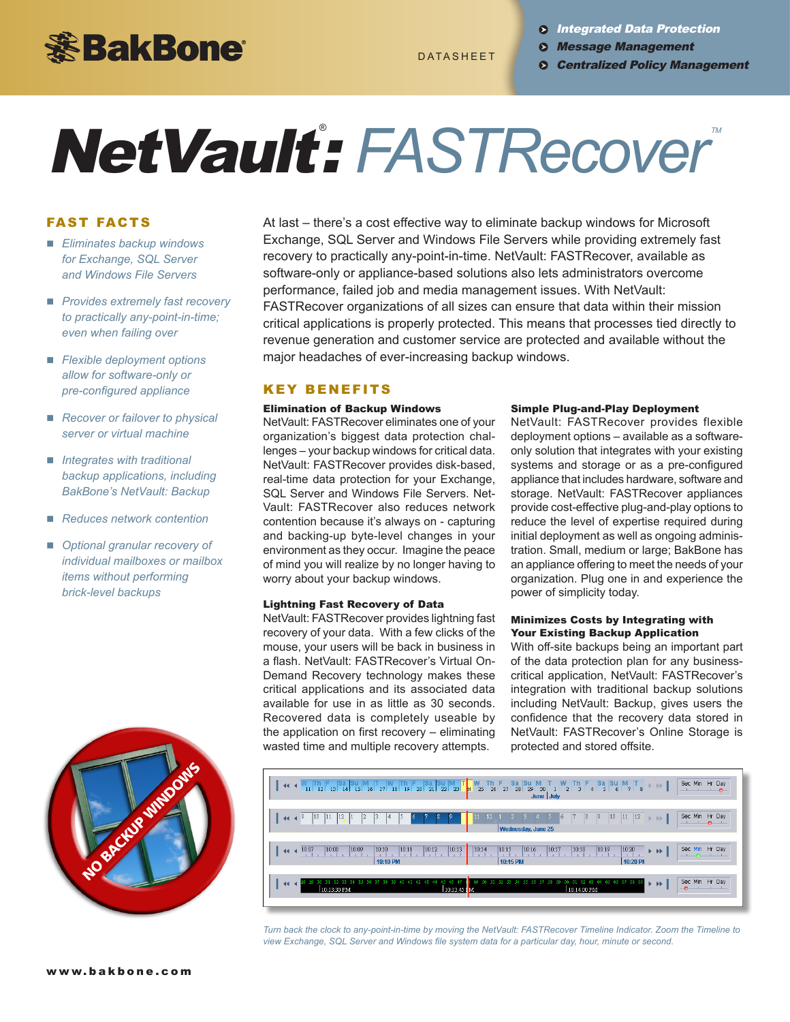

**8 Integrated Data Protection** 

- Message Management
- DATASHEET **DRATASHEET O** Centralized Policy Management

# $NetVault: FASTRecover^*$

# FAST FACTS

- *Eliminates backup windows for Exchange, SQL Server and Windows File Servers*
- **n** *Provides extremely fast recovery to practically any-point-in-time; even when failing over*
- *Flexible deployment options allow for software-only or pre-configured appliance*
- *Recover or failover to physical server or virtual machine*
- *Integrates with traditional backup applications, including BakBone's NetVault: Backup*
- n *Reduces network contention*
- *Optional granular recovery of individual mailboxes or mailbox items without performing brick-level backups*



At last – there's a cost effective way to eliminate backup windows for Microsoft Exchange, SQL Server and Windows File Servers while providing extremely fast recovery to practically any-point-in-time. NetVault: FASTRecover, available as software-only or appliance-based solutions also lets administrators overcome performance, failed job and media management issues. With NetVault: FASTRecover organizations of all sizes can ensure that data within their mission critical applications is properly protected. This means that processes tied directly to revenue generation and customer service are protected and available without the major headaches of ever-increasing backup windows.

# **KEY BENEFITS**

#### Elimination of Backup Windows

NetVault: FASTRecover eliminates one of your organization's biggest data protection challenges – your backup windows for critical data. NetVault: FASTRecover provides disk-based, real-time data protection for your Exchange, SQL Server and Windows File Servers. Net-Vault: FASTRecover also reduces network contention because it's always on - capturing and backing-up byte-level changes in your environment as they occur. Imagine the peace of mind you will realize by no longer having to worry about your backup windows.

### Lightning Fast Recovery of Data

NetVault: FASTRecover provides lightning fast recovery of your data. With a few clicks of the mouse, your users will be back in business in a flash. NetVault: FASTRecover's Virtual On-Demand Recovery technology makes these critical applications and its associated data available for use in as little as 30 seconds. Recovered data is completely useable by the application on first recovery – eliminating wasted time and multiple recovery attempts.

#### Simple Plug-and-Play Deployment

NetVault: FASTRecover provides flexible deployment options – available as a softwareonly solution that integrates with your existing systems and storage or as a pre-configured appliance that includes hardware, software and storage. NetVault: FASTRecover appliances provide cost-effective plug-and-play options to reduce the level of expertise required during initial deployment as well as ongoing administration. Small, medium or large; BakBone has an appliance offering to meet the needs of your organization. Plug one in and experience the power of simplicity today.

### Minimizes Costs by Integrating with Your Existing Backup Application

With off-site backups being an important part of the data protection plan for any businesscritical application, NetVault: FASTRecover's integration with traditional backup solutions including NetVault: Backup, gives users the confidence that the recovery data stored in NetVault: FASTRecover's Online Storage is protected and stored offsite.



*Turn back the clock to any-point-in-time by moving the NetVault: FASTRecover Timeline Indicator. Zoom the Timeline to view Exchange, SQL Server and Windows file system data for a particular day, hour, minute or second.*